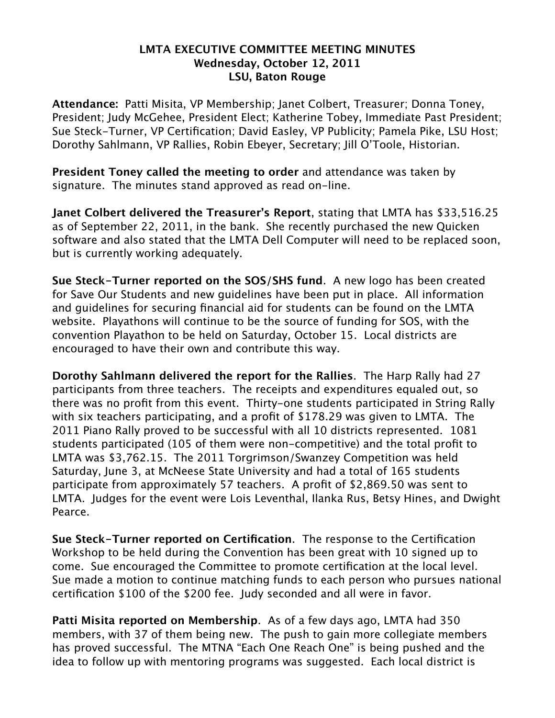## **LMTA EXECUTIVE COMMITTEE MEETING MINUTES Wednesday, October 12, 2011 LSU, Baton Rouge**

**Attendance:** Patti Misita, VP Membership; Janet Colbert, Treasurer; Donna Toney, President; Judy McGehee, President Elect; Katherine Tobey, Immediate Past President; Sue Steck-Turner, VP Certification; David Easley, VP Publicity; Pamela Pike, LSU Host; Dorothy Sahlmann, VP Rallies, Robin Ebeyer, Secretary; Jill O'Toole, Historian.

**President Toney called the meeting to order** and attendance was taken by signature. The minutes stand approved as read on-line.

**Janet Colbert delivered the Treasurer's Report**, stating that LMTA has \$33,516.25 as of September 22, 2011, in the bank. She recently purchased the new Quicken software and also stated that the LMTA Dell Computer will need to be replaced soon, but is currently working adequately.

**Sue Steck-Turner reported on the SOS/SHS fund**. A new logo has been created for Save Our Students and new guidelines have been put in place. All information and guidelines for securing financial aid for students can be found on the LMTA website. Playathons will continue to be the source of funding for SOS, with the convention Playathon to be held on Saturday, October 15. Local districts are encouraged to have their own and contribute this way.

**Dorothy Sahlmann delivered the report for the Rallies**. The Harp Rally had 27 participants from three teachers. The receipts and expenditures equaled out, so there was no profit from this event. Thirty-one students participated in String Rally with six teachers participating, and a profit of \$178.29 was given to LMTA. The 2011 Piano Rally proved to be successful with all 10 districts represented. 1081 students participated (105 of them were non-competitive) and the total profit to LMTA was \$3,762.15. The 2011 Torgrimson/Swanzey Competition was held Saturday, June 3, at McNeese State University and had a total of 165 students participate from approximately 57 teachers. A profit of \$2,869.50 was sent to LMTA. Judges for the event were Lois Leventhal, Ilanka Rus, Betsy Hines, and Dwight Pearce.

**Sue Steck-Turner reported on Certification**. The response to the Certification Workshop to be held during the Convention has been great with 10 signed up to come. Sue encouraged the Committee to promote certification at the local level. Sue made a motion to continue matching funds to each person who pursues national certification \$100 of the \$200 fee. Judy seconded and all were in favor.

**Patti Misita reported on Membership**. As of a few days ago, LMTA had 350 members, with 37 of them being new. The push to gain more collegiate members has proved successful. The MTNA "Each One Reach One" is being pushed and the idea to follow up with mentoring programs was suggested. Each local district is